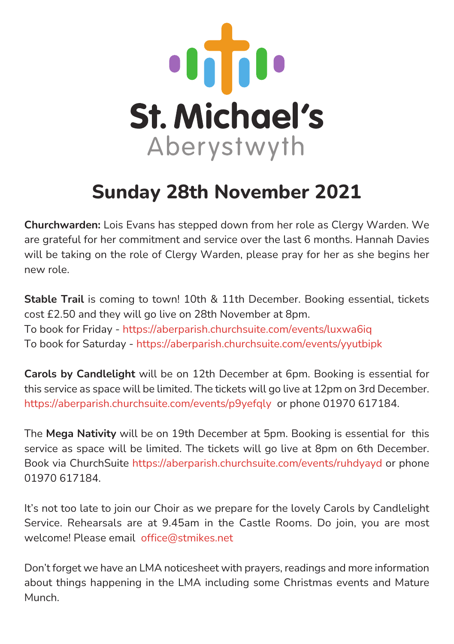

## **Sunday 28th November 2021**

**Churchwarden:** Lois Evans has stepped down from her role as Clergy Warden. We are grateful for her commitment and service over the last 6 months. Hannah Davies will be taking on the role of Clergy Warden, please pray for her as she begins her new role.

**Stable Trail** is coming to town! 10th & 11th December. Booking essential, tickets cost £2.50 and they will go live on 28th November at 8pm. To book for Friday -<https://aberparish.churchsuite.com/events/luxwa6iq> To book for Saturday -<https://aberparish.churchsuite.com/events/yyutbipk>

**Carols by Candlelight** will be on 12th December at 6pm. Booking is essential for this service as space will be limited. The tickets will go live at 12pm on 3rd December. <https://aberparish.churchsuite.com/events/p9yefqly> or phone 01970 617184.

The **Mega Nativity** will be on 19th December at 5pm. Booking is essential for this service as space will be limited. The tickets will go live at 8pm on 6th December. Book via ChurchSuit[e https://aberparish.churchsuite.com/events/ruhdyayd](https://aberparish.churchsuite.com/events/ruhdyayd) or phone 01970 617184.

It's not too late to join our Choir as we prepare for the lovely Carols by Candlelight Service. Rehearsals are at 9.45am in the Castle Rooms. Do join, you are most welcome! Please email [office@stmikes.net](mailto:office@stmikes.net)

Don't forget we have an LMA noticesheet with prayers, readings and more information about things happening in the LMA including some Christmas events and Mature Munch.